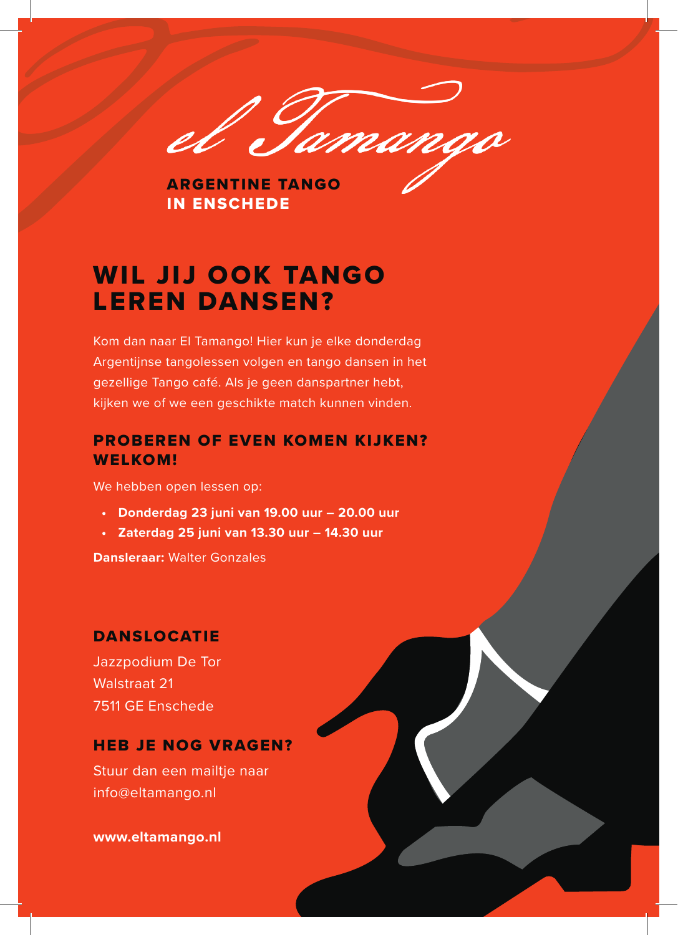

ARGENTINE TANGO IN ENSCHEDE

# WIL JIJ OOK TANGO LEREN DANSEN?

Kom dan naar El Tamango! Hier kun je elke donderdag Argentijnse tangolessen volgen en tango dansen in het gezellige Tango café. Als je geen danspartner hebt, kijken we of we een geschikte match kunnen vinden.

### PROBEREN OF EVEN KOMEN KIJKEN? WELKOM!

We hebben open lessen op:

- **• Donderdag 23 juni van 19.00 uur 20.00 uur**
- **• Zaterdag 25 juni van 13.30 uur 14.30 uur**

**Dansleraar:** Walter Gonzales

### **DANSLOCATIE**

Jazzpodium De Tor Walstraat 21 7511 GE Enschede

### HEB JE NOG VRAGEN?

Stuur dan een mailtie naar info@eltamango.nl

**www.eltamango.nl**